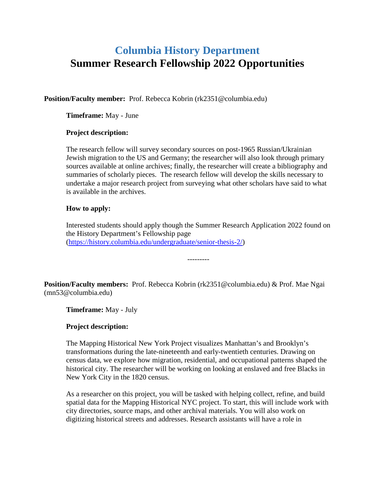# **Columbia History Department Summer Research Fellowship 2022 Opportunities**

**Position/Faculty member:** Prof. Rebecca Kobrin (rk2351@columbia.edu)

**Timeframe:** May - June

## **Project description:**

The research fellow will survey secondary sources on post-1965 Russian/Ukrainian Jewish migration to the US and Germany; the researcher will also look through primary sources available at online archives; finally, the researcher will create a bibliography and summaries of scholarly pieces. The research fellow will develop the skills necessary to undertake a major research project from surveying what other scholars have said to what is available in the archives.

## **How to apply:**

Interested students should apply though the Summer Research Application 2022 found on the History Department's Fellowship page [\(https://history.columbia.edu/undergraduate/senior-thesis-2/\)](https://history.columbia.edu/undergraduate/senior-thesis-2/)

---------

**Position/Faculty members:** Prof. Rebecca Kobrin (rk2351@columbia.edu) & Prof. Mae Ngai (mn53@columbia.edu)

**Timeframe:** May - July

## **Project description:**

The Mapping Historical New York Project visualizes Manhattan's and Brooklyn's transformations during the late-nineteenth and early-twentieth centuries. Drawing on census data, we explore how migration, residential, and occupational patterns shaped the historical city. The researcher will be working on looking at enslaved and free Blacks in New York City in the 1820 census.

As a researcher on this project, you will be tasked with helping collect, refine, and build spatial data for the Mapping Historical NYC project. To start, this will include work with city directories, source maps, and other archival materials. You will also work on digitizing historical streets and addresses. Research assistants will have a role in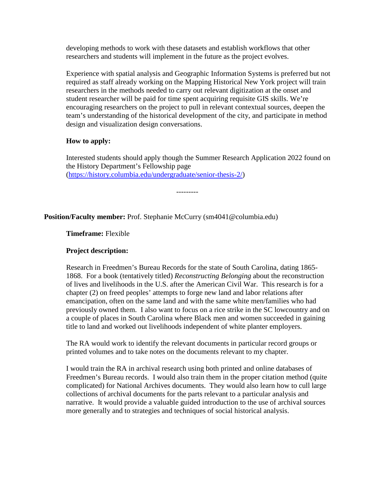developing methods to work with these datasets and establish workflows that other researchers and students will implement in the future as the project evolves.

Experience with spatial analysis and Geographic Information Systems is preferred but not required as staff already working on the Mapping Historical New York project will train researchers in the methods needed to carry out relevant digitization at the onset and student researcher will be paid for time spent acquiring requisite GIS skills. We're encouraging researchers on the project to pull in relevant contextual sources, deepen the team's understanding of the historical development of the city, and participate in method design and visualization design conversations.

# **How to apply:**

Interested students should apply though the Summer Research Application 2022 found on the History Department's Fellowship page [\(https://history.columbia.edu/undergraduate/senior-thesis-2/\)](https://history.columbia.edu/undergraduate/senior-thesis-2/)

---------

# **Position/Faculty member:** Prof. Stephanie McCurry (sm4041@columbia.edu)

**Timeframe:** Flexible

# **Project description:**

Research in Freedmen's Bureau Records for the state of South Carolina, dating 1865- 1868. For a book (tentatively titled) *Reconstructing Belonging* about the reconstruction of lives and livelihoods in the U.S. after the American Civil War. This research is for a chapter (2) on freed peoples' attempts to forge new land and labor relations after emancipation, often on the same land and with the same white men/families who had previously owned them. I also want to focus on a rice strike in the SC lowcountry and on a couple of places in South Carolina where Black men and women succeeded in gaining title to land and worked out livelihoods independent of white planter employers.

The RA would work to identify the relevant documents in particular record groups or printed volumes and to take notes on the documents relevant to my chapter.

I would train the RA in archival research using both printed and online databases of Freedmen's Bureau records. I would also train them in the proper citation method (quite complicated) for National Archives documents. They would also learn how to cull large collections of archival documents for the parts relevant to a particular analysis and narrative. It would provide a valuable guided introduction to the use of archival sources more generally and to strategies and techniques of social historical analysis.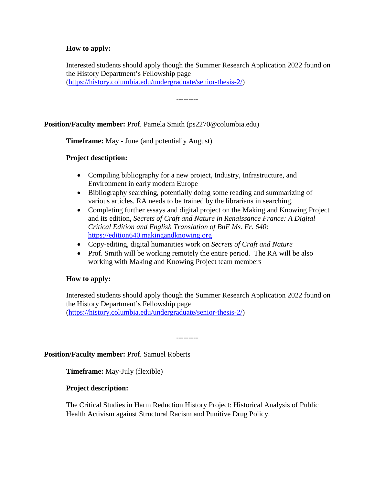## **How to apply:**

Interested students should apply though the Summer Research Application 2022 found on the History Department's Fellowship page [\(https://history.columbia.edu/undergraduate/senior-thesis-2/\)](https://history.columbia.edu/undergraduate/senior-thesis-2/)

---------

## **Position/Faculty member:** Prof. Pamela Smith (ps2270@columbia.edu)

**Timeframe:** May - June (and potentially August)

## **Project desctiption:**

- Compiling bibliography for a new project, Industry, Infrastructure, and Environment in early modern Europe
- Bibliography searching, potentially doing some reading and summarizing of various articles. RA needs to be trained by the librarians in searching.
- Completing further essays and digital project on the Making and Knowing Project and its edition, *Secrets of Craft and Nature in Renaissance France: A Digital Critical Edition and English Translation of BnF Ms. Fr. 640*: [https://edition640.makingandknowing.org](https://edition640.makingandknowing.org/)
- Copy-editing, digital humanities work on *Secrets of Craft and Nature*
- Prof. Smith will be working remotely the entire period. The RA will be also working with Making and Knowing Project team members

## **How to apply:**

Interested students should apply though the Summer Research Application 2022 found on the History Department's Fellowship page [\(https://history.columbia.edu/undergraduate/senior-thesis-2/\)](https://history.columbia.edu/undergraduate/senior-thesis-2/)

---------

**Position/Faculty member:** Prof. Samuel Roberts

**Timeframe:** May-July (flexible)

## **Project description:**

The Critical Studies in Harm Reduction History Project: Historical Analysis of Public Health Activism against Structural Racism and Punitive Drug Policy.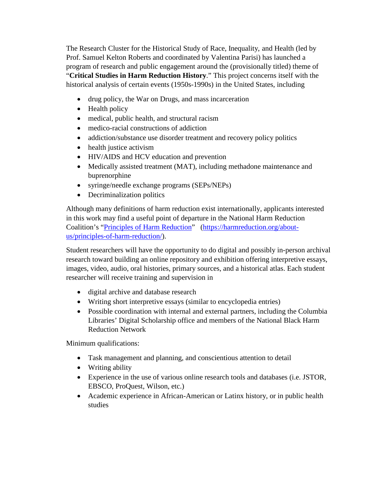The Research Cluster for the Historical Study of Race, Inequality, and Health (led by Prof. Samuel Kelton Roberts and coordinated by Valentina Parisi) has launched a program of research and public engagement around the (provisionally titled) theme of "**Critical Studies in Harm Reduction History**." This project concerns itself with the historical analysis of certain events (1950s-1990s) in the United States, including

- drug policy, the War on Drugs, and mass incarceration
- Health policy
- medical, public health, and structural racism
- medico-racial constructions of addiction
- addiction/substance use disorder treatment and recovery policy politics
- health justice activism
- HIV/AIDS and HCV education and prevention
- Medically assisted treatment (MAT), including methadone maintenance and buprenorphine
- syringe/needle exchange programs (SEPs/NEPs)
- Decriminalization politics

Although many definitions of harm reduction exist internationally, applicants interested in this work may find a useful point of departure in the National Harm Reduction Coalition's ["Principles of Harm Reduction"](https://harmreduction.org/about-us/principles-of-harm-reduction/) [\(https://harmreduction.org/about](https://harmreduction.org/about-us/principles-of-harm-reduction/)[us/principles-of-harm-reduction/\)](https://harmreduction.org/about-us/principles-of-harm-reduction/).

Student researchers will have the opportunity to do digital and possibly in-person archival research toward building an online repository and exhibition offering interpretive essays, images, video, audio, oral histories, primary sources, and a historical atlas. Each student researcher will receive training and supervision in

- digital archive and database research
- Writing short interpretive essays (similar to encyclopedia entries)
- Possible coordination with internal and external partners, including the Columbia Libraries' Digital Scholarship office and members of the National Black Harm Reduction Network

Minimum qualifications:

- Task management and planning, and conscientious attention to detail
- Writing ability
- Experience in the use of various online research tools and databases (i.e. JSTOR, EBSCO, ProQuest, Wilson, etc.)
- Academic experience in African-American or Latinx history, or in public health studies